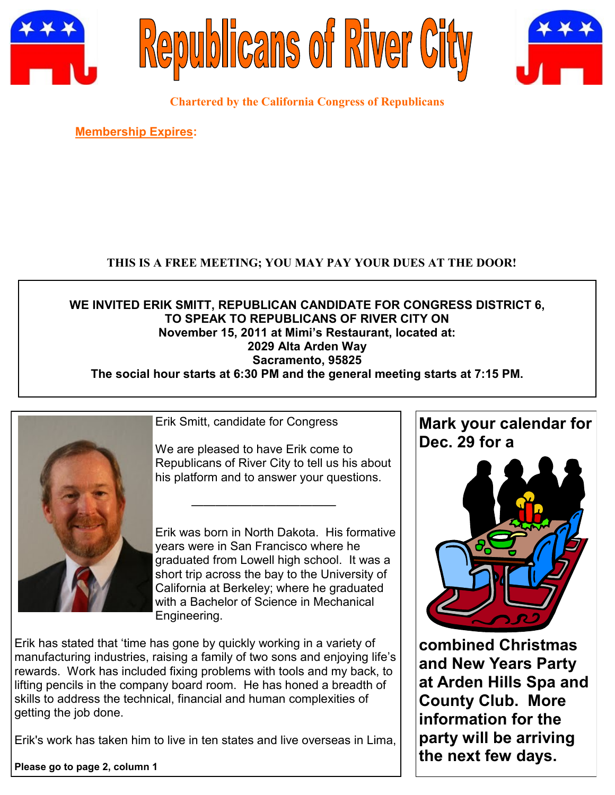





**Chartered by the California Congress of Republicans**

**Membership Expires:** 

# **THIS IS A FREE MEETING; YOU MAY PAY YOUR DUES AT THE DOOR!**

## **WE INVITED ERIK SMITT, REPUBLICAN CANDIDATE FOR CONGRESS DISTRICT 6, TO SPEAK TO REPUBLICANS OF RIVER CITY ON November 15, 2011 at Mimi's Restaurant, located at: 2029 Alta Arden Way Sacramento, 95825 The social hour starts at 6:30 PM and the general meeting starts at 7:15 PM.**



Erik Smitt, candidate for Congress

We are pleased to have Erik come to Republicans of River City to tell us his about his platform and to answer your questions.

————————————

Erik was born in North Dakota. His formative years were in San Francisco where he graduated from Lowell high school. It was a short trip across the bay to the University of California at Berkeley; where he graduated with a Bachelor of Science in Mechanical Engineering.

Erik has stated that "time has gone by quickly working in a variety of manufacturing industries, raising a family of two sons and enjoying life"s rewards. Work has included fixing problems with tools and my back, to lifting pencils in the company board room. He has honed a breadth of skills to address the technical, financial and human complexities of getting the job done.

Erik's work has taken him to live in ten states and live overseas in Lima,

**Please go to page 2, column 1**



**combined Christmas and New Years Party at Arden Hills Spa and County Club. More information for the party will be arriving the next few days.**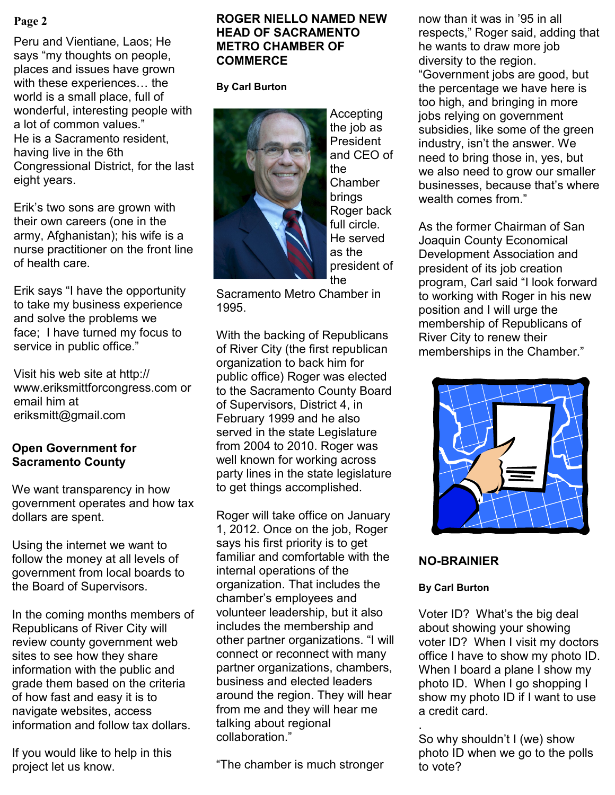Peru and Vientiane, Laos; He says "my thoughts on people, places and issues have grown with these experiences… the world is a small place, full of wonderful, interesting people with a lot of common values." He is a Sacramento resident, having live in the 6th Congressional District, for the last eight years.

Erik"s two sons are grown with their own careers (one in the army, Afghanistan); his wife is a nurse practitioner on the front line of health care.

Erik says "I have the opportunity to take my business experience and solve the problems we face; I have turned my focus to service in public office."

Visit his web site at http:// www.eriksmittforcongress.com or email him at eriksmitt@gmail.com

## **Open Government for Sacramento County**

We want transparency in how government operates and how tax dollars are spent.

Using the internet we want to follow the money at all levels of government from local boards to the Board of Supervisors.

In the coming months members of Republicans of River City will review county government web sites to see how they share information with the public and grade them based on the criteria of how fast and easy it is to navigate websites, access information and follow tax dollars.

If you would like to help in this project let us know.

## **Page 2 now than it was in '95 in all all in the ROGER NIELLO NAMED NEW** in the now than it was in '95 in all **HEAD OF SACRAMENTO METRO CHAMBER OF COMMERCE**

**By Carl Burton**



Accepting the job as President and CEO of the Chamber brings Roger back full circle. He served as the president of the

Sacramento Metro Chamber in 1995.

With the backing of Republicans of River City (the first republican organization to back him for public office) Roger was elected to the Sacramento County Board of Supervisors, District 4, in February 1999 and he also served in the state Legislature from 2004 to 2010. Roger was well known for working across party lines in the state legislature to get things accomplished.

Roger will take office on January 1, 2012. Once on the job, Roger says his first priority is to get familiar and comfortable with the internal operations of the organization. That includes the chamber"s employees and volunteer leadership, but it also includes the membership and other partner organizations. "I will connect or reconnect with many partner organizations, chambers, business and elected leaders around the region. They will hear from me and they will hear me talking about regional collaboration."

"The chamber is much stronger

respects," Roger said, adding that he wants to draw more job diversity to the region. "Government jobs are good, but the percentage we have here is too high, and bringing in more jobs relying on government subsidies, like some of the green industry, isn"t the answer. We need to bring those in, yes, but we also need to grow our smaller businesses, because that"s where wealth comes from."

As the former Chairman of San Joaquin County Economical Development Association and president of its job creation program, Carl said "I look forward to working with Roger in his new position and I will urge the membership of Republicans of River City to renew their memberships in the Chamber."



## **NO-BRAINIER**

## **By Carl Burton**

Voter ID? What"s the big deal about showing your showing voter ID? When I visit my doctors office I have to show my photo ID. When I board a plane I show my photo ID. When I go shopping I show my photo ID if I want to use a credit card.

. So why shouldn"t I (we) show photo ID when we go to the polls to vote?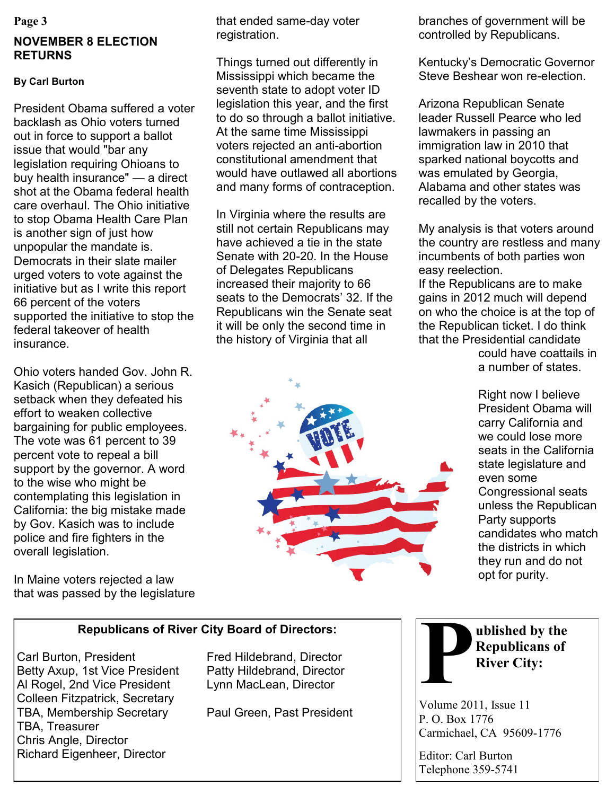#### **Page 3**

# **NOVEMBER 8 ELECTION RETURNS**

## **By Carl Burton**

President Obama suffered a voter backlash as Ohio voters turned out in force to support a ballot issue that would "bar any legislation requiring Ohioans to buy health insurance" — a direct shot at the Obama federal health care overhaul. The Ohio initiative to stop Obama Health Care Plan is another sign of just how unpopular the mandate is. Democrats in their slate mailer urged voters to vote against the initiative but as I write this report 66 percent of the voters supported the initiative to stop the federal takeover of health insurance.

Ohio voters handed Gov. John R. Kasich (Republican) a serious setback when they defeated his effort to weaken collective bargaining for public employees. The vote was 61 percent to 39 percent vote to repeal a bill support by the governor. A word to the wise who might be contemplating this legislation in California: the big mistake made by Gov. Kasich was to include police and fire fighters in the overall legislation.

In Maine voters rejected a law that was passed by the legislature that ended same-day voter registration.

Things turned out differently in Mississippi which became the seventh state to adopt voter ID legislation this year, and the first to do so through a ballot initiative. At the same time Mississippi voters rejected an anti-abortion constitutional amendment that would have outlawed all abortions and many forms of contraception.

In Virginia where the results are still not certain Republicans may have achieved a tie in the state Senate with 20-20. In the House of Delegates Republicans increased their majority to 66 seats to the Democrats' 32. If the Republicans win the Senate seat it will be only the second time in the history of Virginia that all



branches of government will be controlled by Republicans.

Kentucky"s Democratic Governor Steve Beshear won re-election.

Arizona Republican Senate leader Russell Pearce who led lawmakers in passing an immigration law in 2010 that sparked national boycotts and was emulated by Georgia, Alabama and other states was recalled by the voters.

My analysis is that voters around the country are restless and many incumbents of both parties won easy reelection.

If the Republicans are to make gains in 2012 much will depend on who the choice is at the top of the Republican ticket. I do think that the Presidential candidate

> could have coattails in a number of states.

Right now I believe President Obama will carry California and we could lose more seats in the California state legislature and even some Congressional seats unless the Republican Party supports candidates who match the districts in which they run and do not opt for purity.

## **Republicans of River City Board of Directors:**

Carl Burton, President Fred Hildebrand, Director Betty Axup, 1st Vice President Patty Hildebrand, Director Al Rogel, 2nd Vice President Lynn MacLean, Director Colleen Fitzpatrick, Secretary TBA, Membership Secretary Paul Green, Past President TBA, Treasurer Chris Angle, Director Richard Eigenheer, Director



**ublished by the Republicans of River City:**

Volume 2011, Issue 11 P. O. Box 1776 Carmichael, CA 95609-1776

Editor: Carl Burton Telephone 359-5741